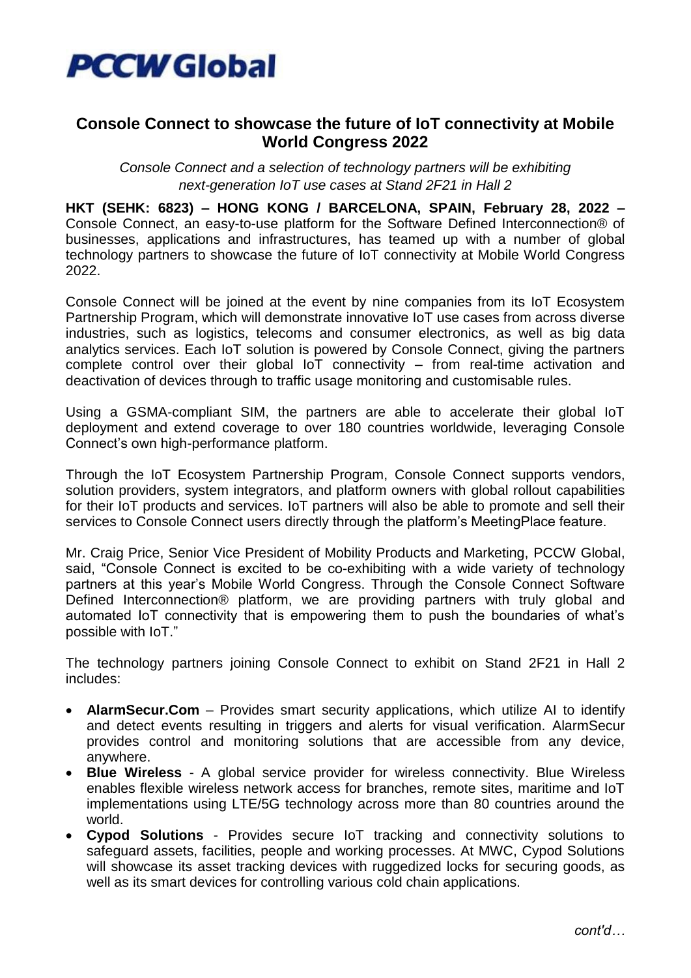

## **Console Connect to showcase the future of IoT connectivity at Mobile World Congress 2022**

*Console Connect and a selection of technology partners will be exhibiting next-generation IoT use cases at Stand 2F21 in Hall 2*

**HKT (SEHK: 6823) – HONG KONG / BARCELONA, SPAIN, February 28, 2022 –** Console Connect, an easy-to-use platform for the Software Defined Interconnection® of businesses, applications and infrastructures, has teamed up with a number of global technology partners to showcase the future of IoT connectivity at Mobile World Congress 2022.

Console Connect will be joined at the event by nine companies from its IoT Ecosystem Partnership Program, which will demonstrate innovative IoT use cases from across diverse industries, such as logistics, telecoms and consumer electronics, as well as big data analytics services. Each IoT solution is powered by Console Connect, giving the partners complete control over their global IoT connectivity – from real-time activation and deactivation of devices through to traffic usage monitoring and customisable rules.

Using a GSMA-compliant SIM, the partners are able to accelerate their global IoT deployment and extend coverage to over 180 countries worldwide, leveraging Console Connect's own high-performance platform.

Through the IoT Ecosystem Partnership Program, Console Connect supports vendors, solution providers, system integrators, and platform owners with global rollout capabilities for their IoT products and services. IoT partners will also be able to promote and sell their services to Console Connect users directly through the platform's MeetingPlace feature.

Mr. Craig Price, Senior Vice President of Mobility Products and Marketing, PCCW Global, said, "Console Connect is excited to be co-exhibiting with a wide variety of technology partners at this year's Mobile World Congress. Through the Console Connect Software Defined Interconnection® platform, we are providing partners with truly global and automated IoT connectivity that is empowering them to push the boundaries of what's possible with IoT."

The technology partners joining Console Connect to exhibit on Stand 2F21 in Hall 2 includes:

- **AlarmSecur.Com** Provides smart security applications, which utilize AI to identify and detect events resulting in triggers and alerts for visual verification. AlarmSecur provides control and monitoring solutions that are accessible from any device, anywhere.
- **Blue Wireless** A global service provider for wireless connectivity. Blue Wireless enables flexible wireless network access for branches, remote sites, maritime and IoT implementations using LTE/5G technology across more than 80 countries around the world.
- **Cypod Solutions** Provides secure IoT tracking and connectivity solutions to safeguard assets, facilities, people and working processes. At MWC, Cypod Solutions will showcase its asset tracking devices with ruggedized locks for securing goods, as well as its smart devices for controlling various cold chain applications.